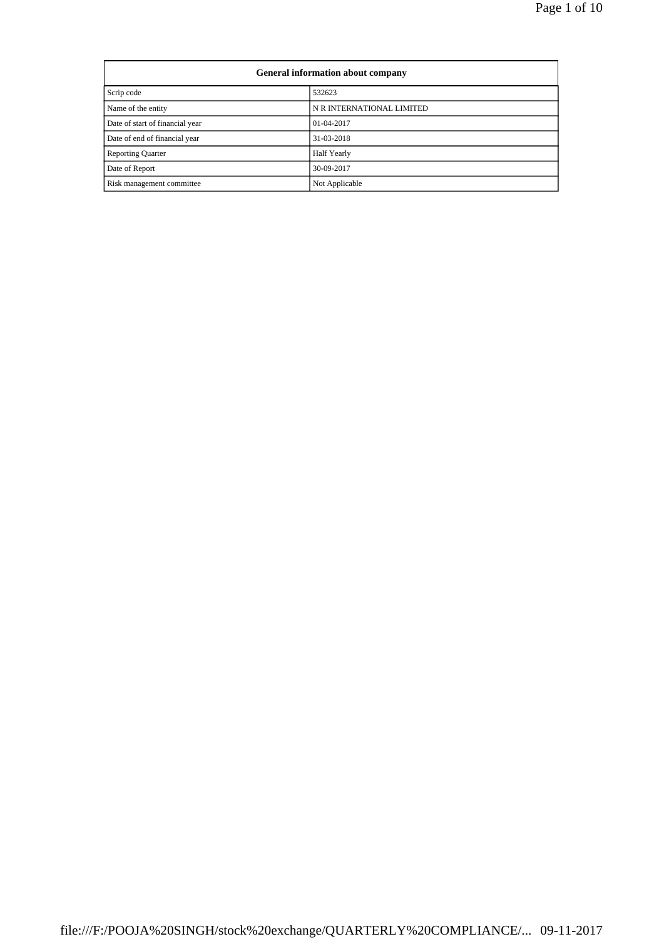| General information about company |                           |  |
|-----------------------------------|---------------------------|--|
| Scrip code<br>532623              |                           |  |
| Name of the entity                | N R INTERNATIONAL LIMITED |  |
| Date of start of financial year   | $01-04-2017$              |  |
| Date of end of financial year     | 31-03-2018                |  |
| <b>Reporting Quarter</b>          | Half Yearly               |  |
| Date of Report                    | 30-09-2017                |  |
| Risk management committee         | Not Applicable            |  |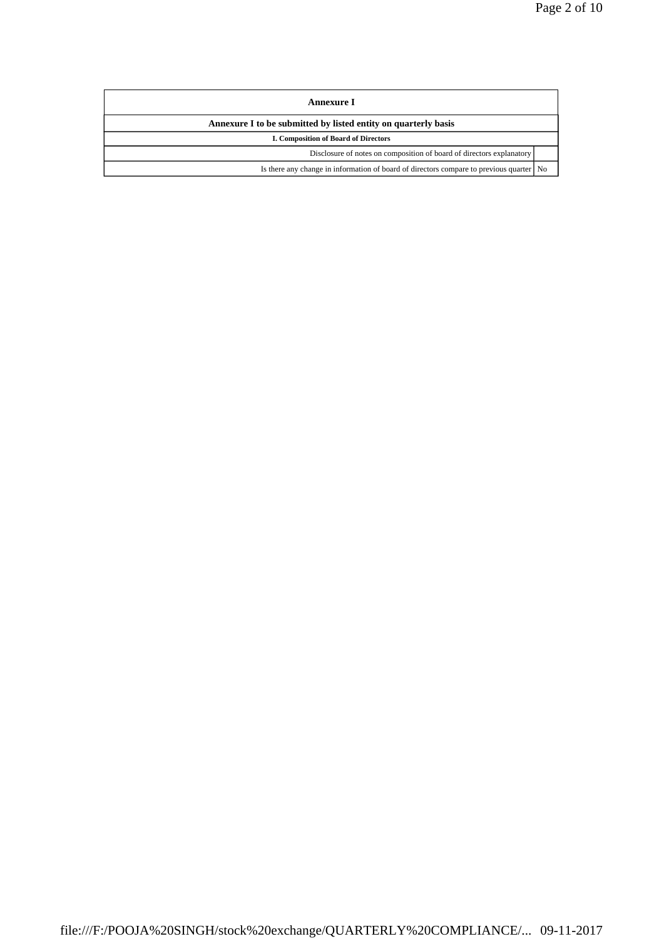| Annexure I                                                                                |  |  |
|-------------------------------------------------------------------------------------------|--|--|
| Annexure I to be submitted by listed entity on quarterly basis                            |  |  |
| <b>I. Composition of Board of Directors</b>                                               |  |  |
| Disclosure of notes on composition of board of directors explanatory                      |  |  |
| Is there any change in information of board of directors compare to previous quarter   No |  |  |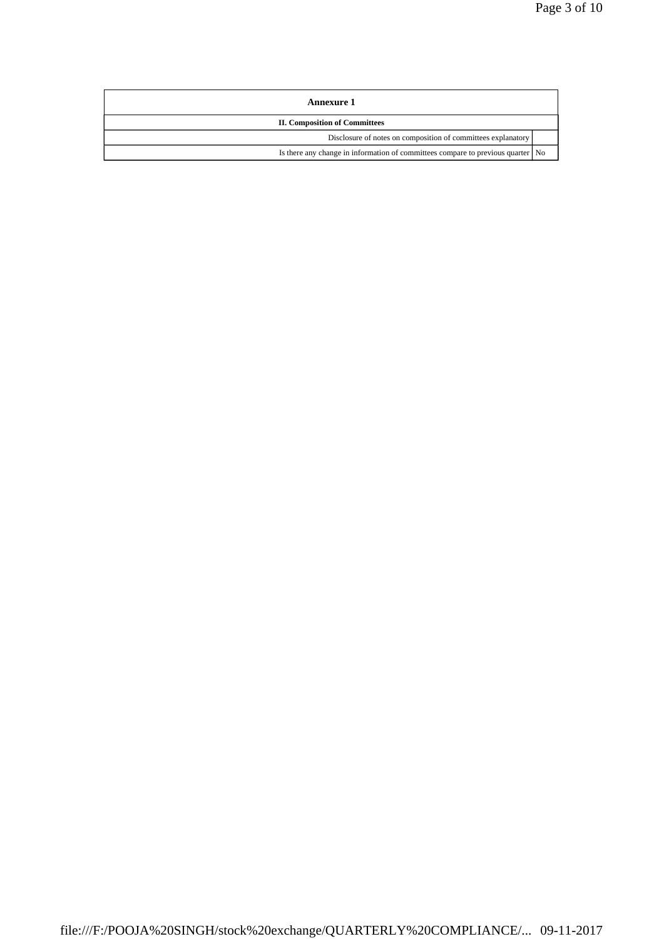| Annexure 1                                                                        |  |  |
|-----------------------------------------------------------------------------------|--|--|
| <b>II. Composition of Committees</b>                                              |  |  |
| Disclosure of notes on composition of committees explanatory                      |  |  |
| Is there any change in information of committees compare to previous quarter   No |  |  |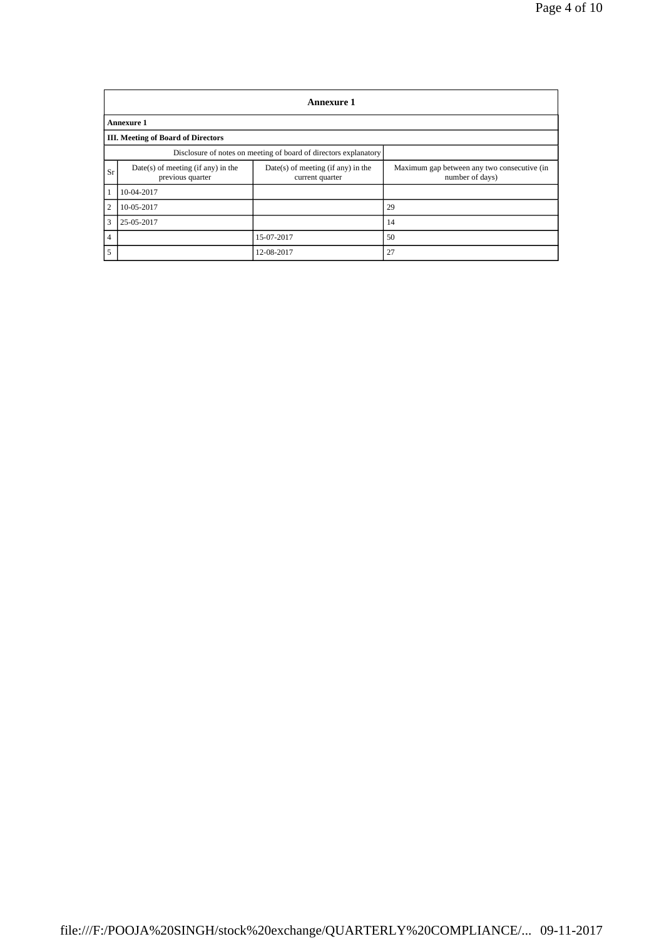|                | <b>Annexure 1</b>                                                |                                                         |                                                                |  |  |
|----------------|------------------------------------------------------------------|---------------------------------------------------------|----------------------------------------------------------------|--|--|
|                | <b>Annexure 1</b>                                                |                                                         |                                                                |  |  |
|                | <b>III.</b> Meeting of Board of Directors                        |                                                         |                                                                |  |  |
|                | Disclosure of notes on meeting of board of directors explanatory |                                                         |                                                                |  |  |
| Sr             | $Date(s)$ of meeting (if any) in the<br>previous quarter         | $Date(s)$ of meeting (if any) in the<br>current quarter | Maximum gap between any two consecutive (in<br>number of days) |  |  |
| $\mathbf{1}$   | 10-04-2017                                                       |                                                         |                                                                |  |  |
| 2              | 10-05-2017                                                       |                                                         | 29                                                             |  |  |
| 3              | 25-05-2017                                                       |                                                         | 14                                                             |  |  |
| $\overline{4}$ |                                                                  | 15-07-2017                                              | 50                                                             |  |  |
| 5              |                                                                  | 12-08-2017                                              | 27                                                             |  |  |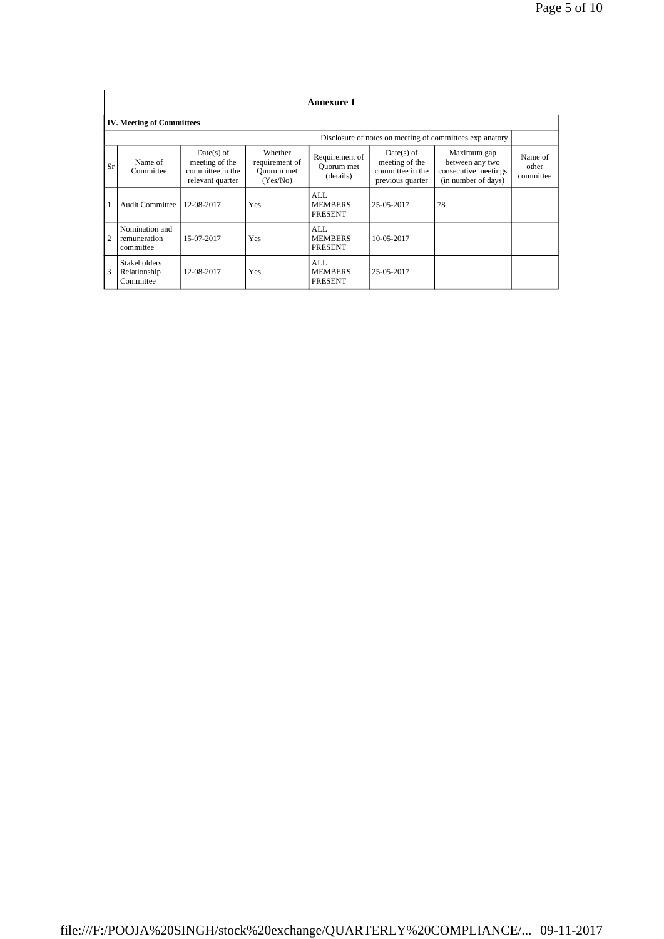|                | <b>Annexure 1</b>                                |                                                                        |                                                     |                                           |                                                                        |                                                                               |                               |
|----------------|--------------------------------------------------|------------------------------------------------------------------------|-----------------------------------------------------|-------------------------------------------|------------------------------------------------------------------------|-------------------------------------------------------------------------------|-------------------------------|
|                | <b>IV. Meeting of Committees</b>                 |                                                                        |                                                     |                                           |                                                                        |                                                                               |                               |
|                |                                                  |                                                                        |                                                     |                                           |                                                                        | Disclosure of notes on meeting of committees explanatory                      |                               |
| Sr             | Name of<br>Committee                             | $Date(s)$ of<br>meeting of the<br>committee in the<br>relevant quarter | Whether<br>requirement of<br>Quorum met<br>(Yes/No) | Requirement of<br>Quorum met<br>(details) | $Date(s)$ of<br>meeting of the<br>committee in the<br>previous quarter | Maximum gap<br>between any two<br>consecutive meetings<br>(in number of days) | Name of<br>other<br>committee |
|                | <b>Audit Committee</b>                           | 12-08-2017                                                             | Yes                                                 | AI.<br><b>MEMBERS</b><br><b>PRESENT</b>   | 25-05-2017                                                             | 78                                                                            |                               |
| $\overline{2}$ | Nomination and<br>remuneration<br>committee      | 15-07-2017                                                             | Yes                                                 | AI.<br><b>MEMBERS</b><br><b>PRESENT</b>   | 10-05-2017                                                             |                                                                               |                               |
| 3              | <b>Stakeholders</b><br>Relationship<br>Committee | 12-08-2017                                                             | Yes                                                 | AI.<br><b>MEMBERS</b><br><b>PRESENT</b>   | 25-05-2017                                                             |                                                                               |                               |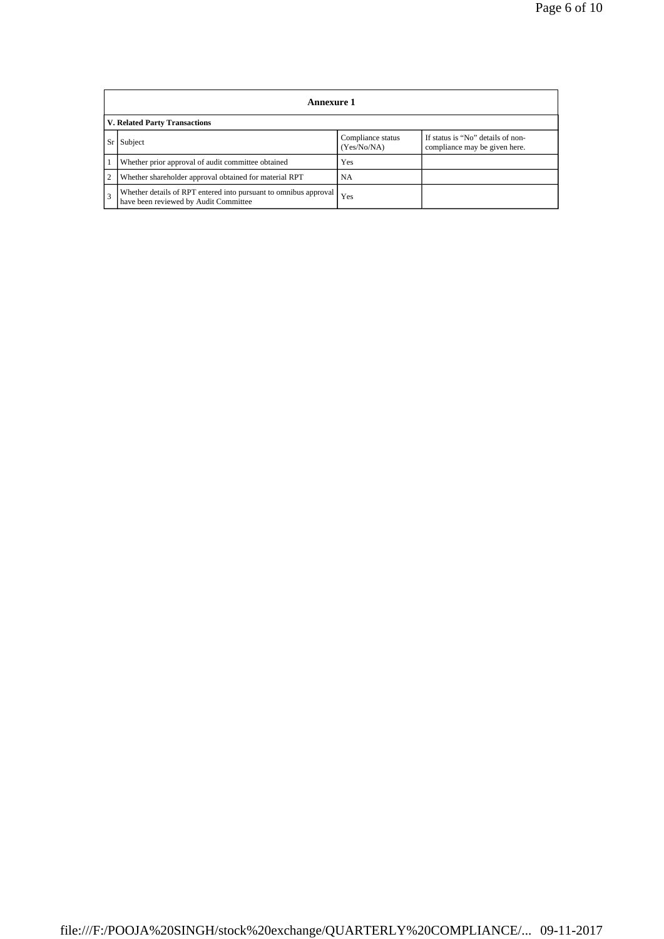|                         | Annexure 1                                                                                                |                                  |                                                                    |  |  |
|-------------------------|-----------------------------------------------------------------------------------------------------------|----------------------------------|--------------------------------------------------------------------|--|--|
|                         | <b>V. Related Party Transactions</b>                                                                      |                                  |                                                                    |  |  |
| Sr                      | Subject                                                                                                   | Compliance status<br>(Yes/No/NA) | If status is "No" details of non-<br>compliance may be given here. |  |  |
|                         | Whether prior approval of audit committee obtained                                                        | Yes                              |                                                                    |  |  |
| 2                       | Whether shareholder approval obtained for material RPT                                                    | <b>NA</b>                        |                                                                    |  |  |
| $\overline{\mathbf{3}}$ | Whether details of RPT entered into pursuant to omnibus approval<br>have been reviewed by Audit Committee | Yes                              |                                                                    |  |  |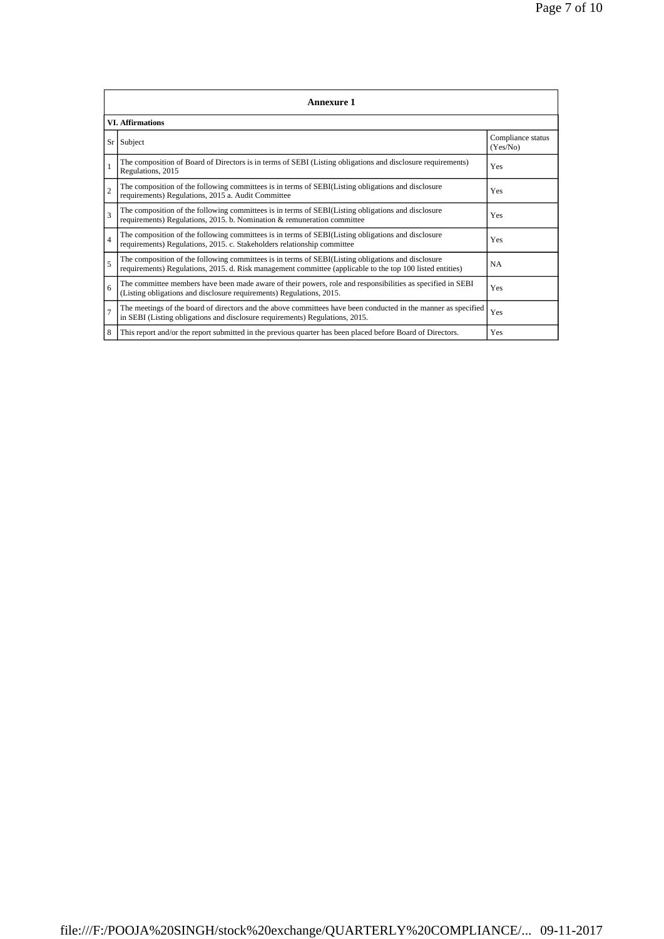|                | <b>Annexure 1</b>                                                                                                                                                                                               |                               |  |  |  |
|----------------|-----------------------------------------------------------------------------------------------------------------------------------------------------------------------------------------------------------------|-------------------------------|--|--|--|
|                | <b>VI.</b> Affirmations                                                                                                                                                                                         |                               |  |  |  |
| Sr             | Subject                                                                                                                                                                                                         | Compliance status<br>(Yes/No) |  |  |  |
| 1              | The composition of Board of Directors is in terms of SEBI (Listing obligations and disclosure requirements)<br>Regulations, 2015                                                                                | Yes                           |  |  |  |
| $\overline{c}$ | The composition of the following committees is in terms of SEBI(Listing obligations and disclosure<br>requirements) Regulations, 2015 a. Audit Committee                                                        | Yes                           |  |  |  |
| $\mathbf{3}$   | The composition of the following committees is in terms of SEBI(Listing obligations and disclosure<br>requirements) Regulations, 2015. b. Nomination & remuneration committee                                   | Yes                           |  |  |  |
| $\overline{4}$ | The composition of the following committees is in terms of SEBI(Listing obligations and disclosure<br>requirements) Regulations, 2015. c. Stakeholders relationship committee                                   | Yes                           |  |  |  |
| 5              | The composition of the following committees is in terms of SEBI(Listing obligations and disclosure<br>requirements) Regulations, 2015. d. Risk management committee (applicable to the top 100 listed entities) | NA                            |  |  |  |
| 6              | The committee members have been made aware of their powers, role and responsibilities as specified in SEBI<br>(Listing obligations and disclosure requirements) Regulations, 2015.                              | Yes                           |  |  |  |
| $\overline{7}$ | The meetings of the board of directors and the above committees have been conducted in the manner as specified<br>in SEBI (Listing obligations and disclosure requirements) Regulations, 2015.                  | Yes                           |  |  |  |
| 8              | This report and/or the report submitted in the previous quarter has been placed before Board of Directors.                                                                                                      | Yes                           |  |  |  |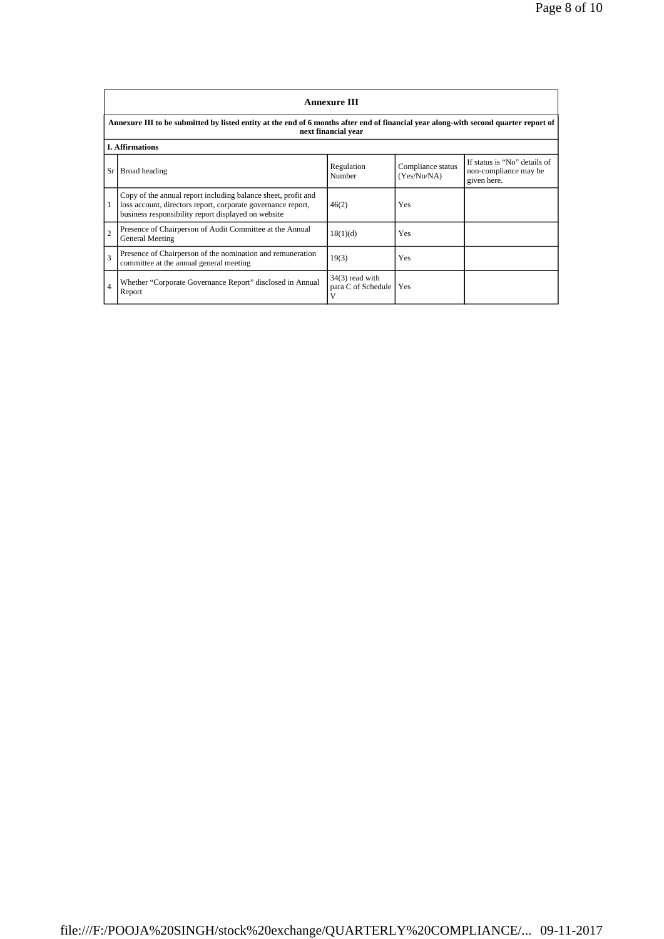|                         | <b>Annexure III</b>                                                                                                                                                                  |                                         |                                  |                                                                      |  |  |
|-------------------------|--------------------------------------------------------------------------------------------------------------------------------------------------------------------------------------|-----------------------------------------|----------------------------------|----------------------------------------------------------------------|--|--|
|                         | Annexure III to be submitted by listed entity at the end of 6 months after end of financial year along-with second quarter report of<br>next financial year                          |                                         |                                  |                                                                      |  |  |
|                         | <b>I. Affirmations</b>                                                                                                                                                               |                                         |                                  |                                                                      |  |  |
| Sr                      | Broad heading                                                                                                                                                                        | Regulation<br>Number                    | Compliance status<br>(Yes/No/NA) | If status is "No" details of<br>non-compliance may be<br>given here. |  |  |
|                         | Copy of the annual report including balance sheet, profit and<br>loss account, directors report, corporate governance report,<br>business responsibility report displayed on website | 46(2)                                   | Yes                              |                                                                      |  |  |
| $\overline{2}$          | Presence of Chairperson of Audit Committee at the Annual<br>General Meeting                                                                                                          | 18(1)(d)                                | Yes                              |                                                                      |  |  |
| $\overline{\mathbf{3}}$ | Presence of Chairperson of the nomination and remuneration<br>committee at the annual general meeting                                                                                | 19(3)                                   | Yes                              |                                                                      |  |  |
| $\overline{4}$          | Whether "Corporate Governance Report" disclosed in Annual<br>Report                                                                                                                  | $34(3)$ read with<br>para C of Schedule | Yes                              |                                                                      |  |  |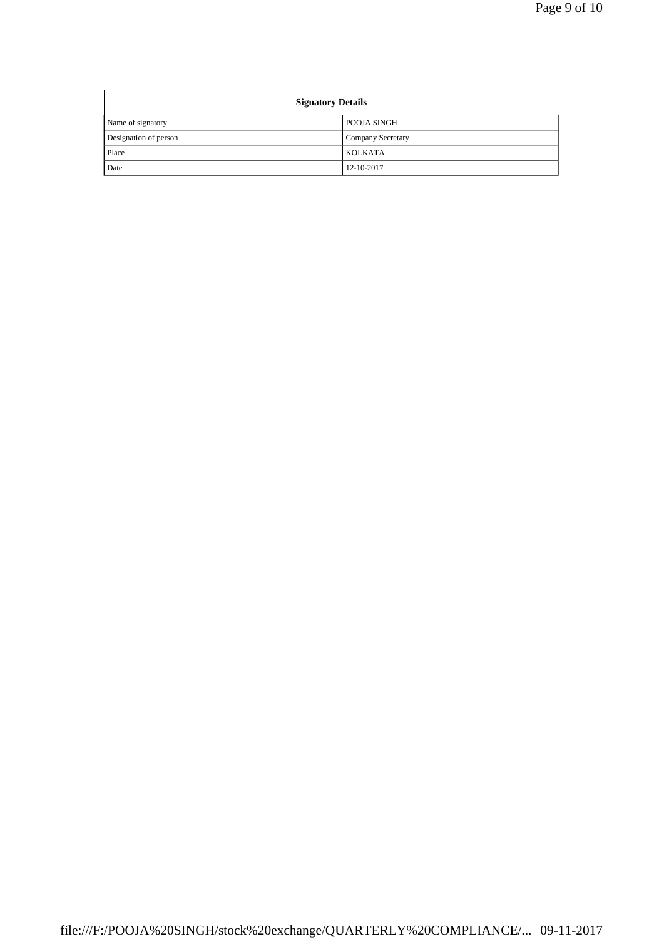| <b>Signatory Details</b> |                          |  |
|--------------------------|--------------------------|--|
| Name of signatory        | POOJA SINGH              |  |
| Designation of person    | <b>Company Secretary</b> |  |
| Place                    | <b>KOLKATA</b>           |  |
| Date                     | 12-10-2017               |  |